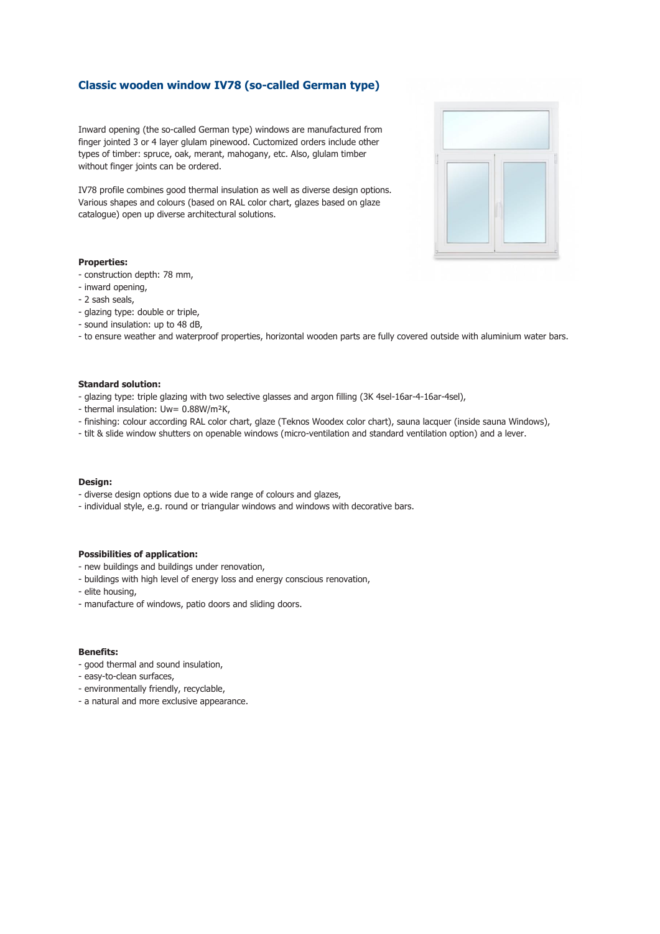# **Classic wooden window IV78 (so-called German type)**

Inward opening (the so-called German type) windows are manufactured from finger jointed 3 or 4 layer glulam pinewood. Cuctomized orders include other types of timber: spruce, oak, merant, mahogany, etc. Also, glulam timber without finger joints can be ordered.

IV78 profile combines good thermal insulation as well as diverse design options. Various shapes and colours (based on RAL color chart, glazes based on glaze catalogue) open up diverse architectural solutions.

## **Properties:**

- construction depth: 78 mm,
- inward opening,
- 2 sash seals,
- glazing type: double or triple,
- sound insulation: up to 48 dB,
- to ensure weather and waterproof properties, horizontal wooden parts are fully covered outside with aluminium water bars.

## **Standard solution:**

- glazing type: triple glazing with two selective glasses and argon filling (3K 4sel-16ar-4-16ar-4sel),
- thermal insulation: Uw= 0.88W/m²K,
- finishing: colour according RAL color chart, glaze (Teknos Woodex color chart), sauna lacquer (inside sauna Windows),
- tilt & slide window shutters on openable windows (micro-ventilation and standard ventilation option) and a lever.

#### **Design:**

- diverse design options due to a wide range of colours and glazes,
- individual style, e.g. round or triangular windows and windows with decorative bars.

### **Possibilities of application:**

- new buildings and buildings under renovation,
- buildings with high level of energy loss and energy conscious renovation,
- elite housing,
- manufacture of windows, patio doors and sliding doors.

## **Benefits:**

- good thermal and sound insulation,
- easy-to-clean surfaces,
- environmentally friendly, recyclable,
- a natural and more exclusive appearance.